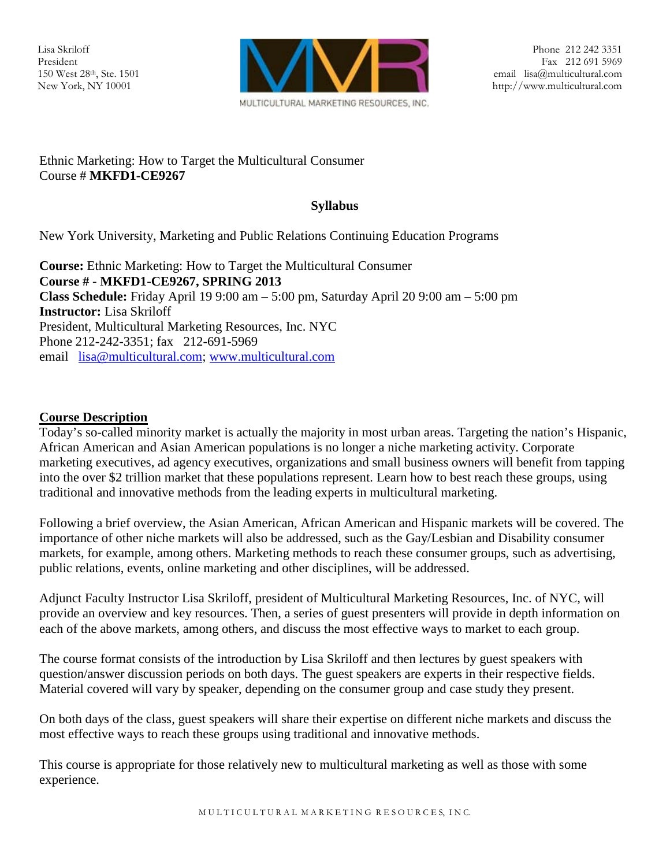Lisa Skriloff President 150 West 28th, Ste. 1501 New York, NY 10001



Ethnic Marketing: How to Target the Multicultural Consumer Course # **MKFD1-CE9267** 

# **Syllabus**

New York University, Marketing and Public Relations Continuing Education Programs

**Course:** Ethnic Marketing: How to Target the Multicultural Consumer **Course # - MKFD1-CE9267, SPRING 2013 Class Schedule:** Friday April 19 9:00 am – 5:00 pm, Saturday April 20 9:00 am – 5:00 pm **Instructor:** Lisa Skriloff President, Multicultural Marketing Resources, Inc. NYC Phone 212-242-3351; fax 212-691-5969 email [lisa@multicultural.com;](mailto:lisa@multicultural.com) [www.multicultural.com](http://www.multicultural.com/)

## **Course Description**

Today's so-called minority market is actually the majority in most urban areas. Targeting the nation's Hispanic, African American and Asian American populations is no longer a niche marketing activity. Corporate marketing executives, ad agency executives, organizations and small business owners will benefit from tapping into the over \$2 trillion market that these populations represent. Learn how to best reach these groups, using traditional and innovative methods from the leading experts in multicultural marketing.

Following a brief overview, the Asian American, African American and Hispanic markets will be covered. The importance of other niche markets will also be addressed, such as the Gay/Lesbian and Disability consumer markets, for example, among others. Marketing methods to reach these consumer groups, such as advertising, public relations, events, online marketing and other disciplines, will be addressed.

Adjunct Faculty Instructor Lisa Skriloff, president of Multicultural Marketing Resources, Inc. of NYC, will provide an overview and key resources. Then, a series of guest presenters will provide in depth information on each of the above markets, among others, and discuss the most effective ways to market to each group.

The course format consists of the introduction by Lisa Skriloff and then lectures by guest speakers with question/answer discussion periods on both days. The guest speakers are experts in their respective fields. Material covered will vary by speaker, depending on the consumer group and case study they present.

On both days of the class, guest speakers will share their expertise on different niche markets and discuss the most effective ways to reach these groups using traditional and innovative methods.

This course is appropriate for those relatively new to multicultural marketing as well as those with some experience.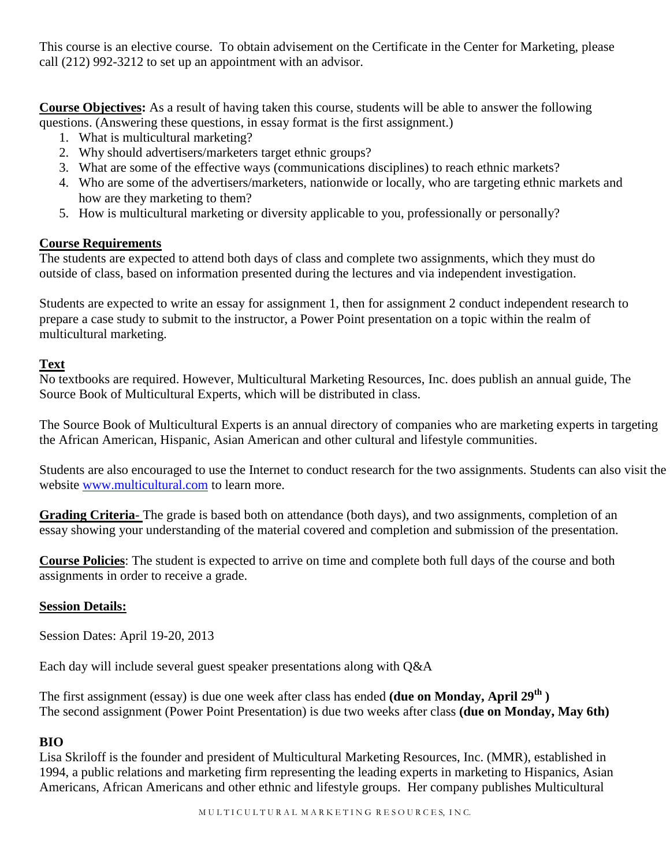This course is an elective course. To obtain advisement on the Certificate in the Center for Marketing, please call (212) 992-3212 to set up an appointment with an advisor.

**Course Objectives:** As a result of having taken this course, students will be able to answer the following questions. (Answering these questions, in essay format is the first assignment.)

- 1. What is multicultural marketing?
- 2. Why should advertisers/marketers target ethnic groups?
- 3. What are some of the effective ways (communications disciplines) to reach ethnic markets?
- 4. Who are some of the advertisers/marketers, nationwide or locally, who are targeting ethnic markets and how are they marketing to them?
- 5. How is multicultural marketing or diversity applicable to you, professionally or personally?

# **Course Requirements**

The students are expected to attend both days of class and complete two assignments, which they must do outside of class, based on information presented during the lectures and via independent investigation.

Students are expected to write an essay for assignment 1, then for assignment 2 conduct independent research to prepare a case study to submit to the instructor, a Power Point presentation on a topic within the realm of multicultural marketing.

## **Text**

No textbooks are required. However, Multicultural Marketing Resources, Inc. does publish an annual guide, The Source Book of Multicultural Experts, which will be distributed in class.

The Source Book of Multicultural Experts is an annual directory of companies who are marketing experts in targeting the African American, Hispanic, Asian American and other cultural and lifestyle communities.

Students are also encouraged to use the Internet to conduct research for the two assignments. Students can also visit the website [www.multicultural.com](http://www.multicultural.com/) to learn more.

**Grading Criteria**- The grade is based both on attendance (both days), and two assignments, completion of an essay showing your understanding of the material covered and completion and submission of the presentation.

**Course Policies**: The student is expected to arrive on time and complete both full days of the course and both assignments in order to receive a grade.

# **Session Details:**

Session Dates: April 19-20, 2013

Each day will include several guest speaker presentations along with Q&A

The first assignment (essay) is due one week after class has ended **(due on Monday, April 29th )** The second assignment (Power Point Presentation) is due two weeks after class **(due on Monday, May 6th)** 

# **BIO**

Lisa Skriloff is the founder and president of Multicultural Marketing Resources, Inc. (MMR), established in 1994, a public relations and marketing firm representing the leading experts in marketing to Hispanics, Asian Americans, African Americans and other ethnic and lifestyle groups. Her company publishes Multicultural